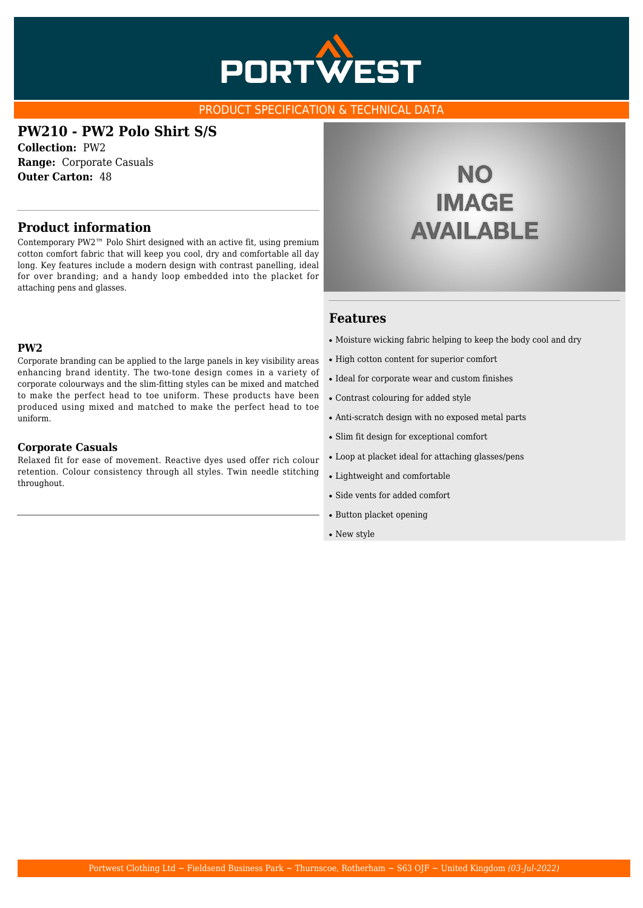

### PRODUCT SPECIFICATION & TECHNICAL DATA

### **PW210 - PW2 Polo Shirt S/S**

**Collection:** PW2 **Range:** Corporate Casuals **Outer Carton:** 48

### **Product information**

Contemporary PW2™ Polo Shirt designed with an active fit, using premium cotton comfort fabric that will keep you cool, dry and comfortable all day long. Key features include a modern design with contrast panelling, ideal for over branding; and a handy loop embedded into the placket for attaching pens and glasses.

### **PW2**

Corporate branding can be applied to the large panels in key visibility areas enhancing brand identity. The two-tone design comes in a variety of corporate colourways and the slim-fitting styles can be mixed and matched to make the perfect head to toe uniform. These products have been produced using mixed and matched to make the perfect head to toe uniform.

#### **Corporate Casuals**

Relaxed fit for ease of movement. Reactive dyes used offer rich colour retention. Colour consistency through all styles. Twin needle stitching throughout.

# **NO IMAGE AVAILABLE**

### **Features**

- Moisture wicking fabric helping to keep the body cool and dry
- High cotton content for superior comfort
- Ideal for corporate wear and custom finishes
- Contrast colouring for added style
- Anti-scratch design with no exposed metal parts
- Slim fit design for exceptional comfort
- Loop at placket ideal for attaching glasses/pens
- Lightweight and comfortable
- Side vents for added comfort
- Button placket opening
- New style